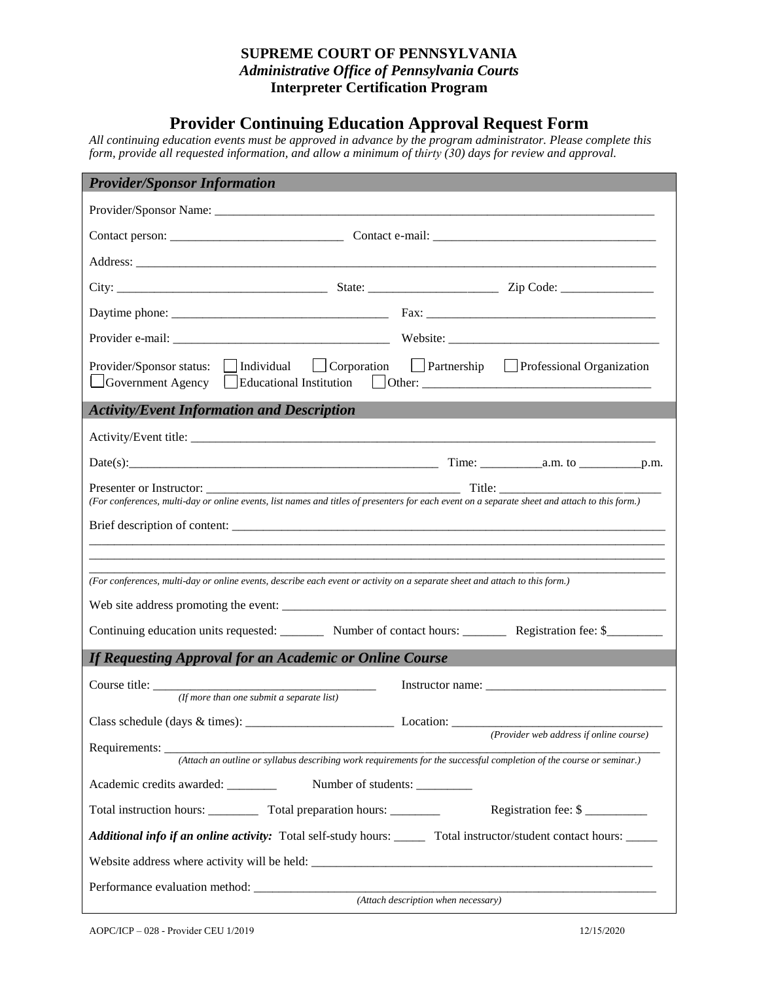## **SUPREME COURT OF PENNSYLVANIA**  *Administrative Office of Pennsylvania Courts* **Interpreter Certification Program**

## **Provider Continuing Education Approval Request Form**

*All continuing education events must be approved in advance by the program administrator. Please complete this form, provide all requested information, and allow a minimum of thirty (30) days for review and approval.*

| <b>Provider/Sponsor Information</b>                                                                                                                                       |  |  |  |
|---------------------------------------------------------------------------------------------------------------------------------------------------------------------------|--|--|--|
|                                                                                                                                                                           |  |  |  |
|                                                                                                                                                                           |  |  |  |
|                                                                                                                                                                           |  |  |  |
|                                                                                                                                                                           |  |  |  |
|                                                                                                                                                                           |  |  |  |
|                                                                                                                                                                           |  |  |  |
| Provider/Sponsor status: Individual Corporation Partnership Professional Organization<br>Government Agency Educational Institution Other: _______________________________ |  |  |  |
| <b>Activity/Event Information and Description</b>                                                                                                                         |  |  |  |
|                                                                                                                                                                           |  |  |  |
|                                                                                                                                                                           |  |  |  |
| (For conferences, multi-day or online events, list names and titles of presenters for each event on a separate sheet and attach to this form.)                            |  |  |  |
|                                                                                                                                                                           |  |  |  |
|                                                                                                                                                                           |  |  |  |
| (For conferences, multi-day or online events, describe each event or activity on a separate sheet and attach to this form.)                                               |  |  |  |
|                                                                                                                                                                           |  |  |  |
| Continuing education units requested: _________ Number of contact hours: ________ Registration fee: \$________                                                            |  |  |  |
| <b>If Requesting Approval for an Academic or Online Course</b>                                                                                                            |  |  |  |
| Instructor name:<br>(If more than one submit a separate list)                                                                                                             |  |  |  |
| Location: $\frac{1}{\sqrt{1-\frac{1}{2}}\sqrt{1-\frac{1}{2}}\sqrt{1-\frac{1}{2}}\sqrt{1-\frac{1}{2}}}}$                                                                   |  |  |  |
| (Provider web address if online course)                                                                                                                                   |  |  |  |
| (Attach an outline or syllabus describing work requirements for the successful completion of the course or seminar.)<br>Academic credits awarded: Number of students:     |  |  |  |
| Total instruction hours: _____________ Total preparation hours: __________<br>Registration fee: \$                                                                        |  |  |  |
| Additional info if an online activity: Total self-study hours: ______ Total instructor/student contact hours: _____                                                       |  |  |  |
|                                                                                                                                                                           |  |  |  |
|                                                                                                                                                                           |  |  |  |
| (Attach description when necessary)                                                                                                                                       |  |  |  |